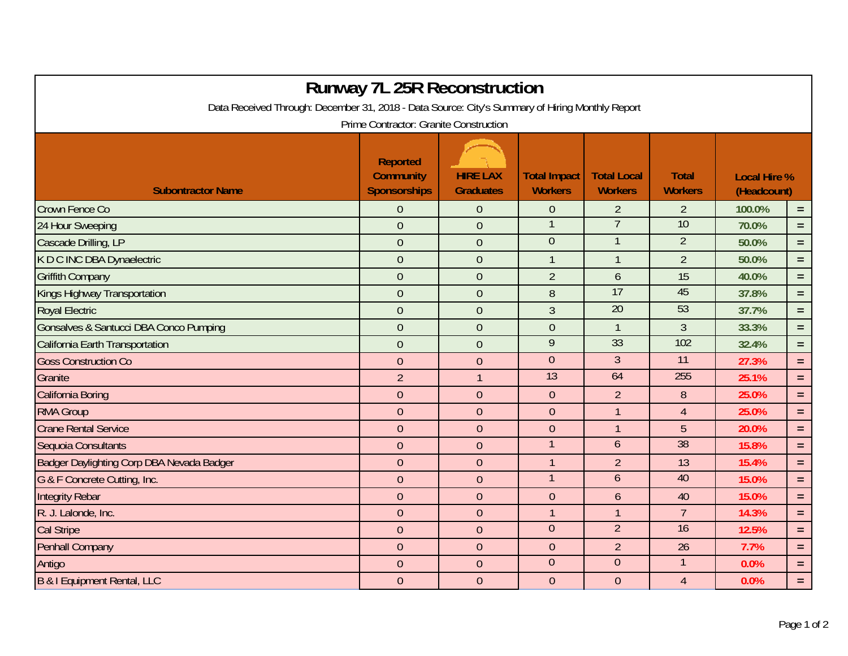| <b>Runway 7L 25R Reconstruction</b>                                                             |                                              |                                     |                                       |                                      |                                |                                    |          |  |  |  |  |  |
|-------------------------------------------------------------------------------------------------|----------------------------------------------|-------------------------------------|---------------------------------------|--------------------------------------|--------------------------------|------------------------------------|----------|--|--|--|--|--|
| Data Received Through: December 31, 2018 - Data Source: City's Summary of Hiring Monthly Report |                                              |                                     |                                       |                                      |                                |                                    |          |  |  |  |  |  |
| Prime Contractor: Granite Construction                                                          |                                              |                                     |                                       |                                      |                                |                                    |          |  |  |  |  |  |
| <b>Subontractor Name</b>                                                                        | Reported<br>Community<br><b>Sponsorships</b> | <b>HIRE LAX</b><br><b>Graduates</b> | <b>Total Impact</b><br><b>Workers</b> | <b>Total Local</b><br><b>Workers</b> | <b>Total</b><br><b>Workers</b> | <b>Local Hire %</b><br>(Headcount) |          |  |  |  |  |  |
| Crown Fence Co                                                                                  | $\overline{0}$                               | $\theta$                            | $\overline{0}$                        | $\overline{2}$                       | $\overline{2}$                 | 100.0%                             | $=$      |  |  |  |  |  |
| 24 Hour Sweeping                                                                                | $\overline{0}$                               | $\theta$                            | $\mathbf 1$                           | $\overline{7}$                       | 10                             | 70.0%                              | $=$      |  |  |  |  |  |
| Cascade Drilling, LP                                                                            | $\overline{0}$                               | $\theta$                            | $\overline{0}$                        |                                      | $\overline{2}$                 | 50.0%                              | $\equiv$ |  |  |  |  |  |
| K D C INC DBA Dynaelectric                                                                      | $\overline{0}$                               | $\overline{0}$                      | $\mathbf{1}$                          | $\mathbf{1}$                         | $\overline{2}$                 | 50.0%                              | $=$      |  |  |  |  |  |
| <b>Griffith Company</b>                                                                         | $\overline{0}$                               | $\theta$                            | $\overline{2}$                        | 6                                    | 15                             | 40.0%                              | $=$      |  |  |  |  |  |
| Kings Highway Transportation                                                                    | $\overline{0}$                               | $\overline{0}$                      | 8                                     | 17                                   | 45                             | 37.8%                              | $=$      |  |  |  |  |  |
| <b>Royal Electric</b>                                                                           | $\overline{0}$                               | $\theta$                            | $\mathfrak{Z}$                        | $\overline{20}$                      | 53                             | 37.7%                              | $=$      |  |  |  |  |  |
| Gonsalves & Santucci DBA Conco Pumping                                                          | $\overline{0}$                               | $\mathbf{0}$                        | $\overline{0}$                        | $\mathbf{1}$                         | $\overline{3}$                 | 33.3%                              | $=$      |  |  |  |  |  |
| California Earth Transportation                                                                 | $\overline{0}$                               | $\mathbf{0}$                        | 9                                     | 33                                   | 102                            | 32.4%                              | $=$      |  |  |  |  |  |
| <b>Goss Construction Co</b>                                                                     | $\overline{0}$                               | $\theta$                            | $\mathbf{0}$                          | $\overline{3}$                       | 11                             | 27.3%                              | $=$      |  |  |  |  |  |
| Granite                                                                                         | $\overline{2}$                               | $\overline{1}$                      | $\overline{13}$                       | 64                                   | 255                            | 25.1%                              | $=$      |  |  |  |  |  |
| <b>California Boring</b>                                                                        | $\overline{0}$                               | $\theta$                            | $\overline{0}$                        | $\overline{2}$                       | 8                              | 25.0%                              | $=$      |  |  |  |  |  |
| <b>RMA Group</b>                                                                                | $\overline{0}$                               | $\overline{0}$                      | $\overline{0}$                        | $\mathbf{1}$                         | $\overline{4}$                 | 25.0%                              | $=$      |  |  |  |  |  |
| <b>Crane Rental Service</b>                                                                     | $\mathbf{0}$                                 | $\theta$                            | $\overline{0}$                        | $\mathbf{1}$                         | 5                              | 20.0%                              | $=$      |  |  |  |  |  |
| Sequoia Consultants                                                                             | $\mathbf{0}$                                 | $\overline{0}$                      |                                       | $\mathfrak b$                        | 38                             | 15.8%                              | $=$      |  |  |  |  |  |
| Badger Daylighting Corp DBA Nevada Badger                                                       | $\mathbf{0}$                                 | $\theta$                            | $\overline{1}$                        | $\overline{2}$                       | 13                             | 15.4%                              | $=$      |  |  |  |  |  |
| G & F Concrete Cutting, Inc.                                                                    | $\mathbf{0}$                                 | $\theta$                            | $\mathbf{1}$                          | 6                                    | 40                             | 15.0%                              | $=$      |  |  |  |  |  |
| <b>Integrity Rebar</b>                                                                          | $\overline{0}$                               | $\theta$                            | $\overline{0}$                        | 6                                    | 40                             | 15.0%                              | $=$      |  |  |  |  |  |
| R. J. Lalonde, Inc.                                                                             | $\overline{0}$                               | $\theta$                            | $\overline{1}$                        | $\mathbf{1}$                         | $\overline{7}$                 | 14.3%                              | $=$      |  |  |  |  |  |
| <b>Cal Stripe</b>                                                                               | $\overline{0}$                               | $\theta$                            | $\overline{0}$                        | $\overline{2}$                       | $\overline{16}$                | 12.5%                              | $=$      |  |  |  |  |  |
| <b>Penhall Company</b>                                                                          | $\mathbf 0$                                  | $\theta$                            | $\boldsymbol{0}$                      | $\overline{2}$                       | 26                             | 7.7%                               | $\equiv$ |  |  |  |  |  |
| Antigo                                                                                          | $\mathbf 0$                                  | $\overline{0}$                      | $\overline{0}$                        | $\overline{0}$                       | $\mathbf{1}$                   | 0.0%                               | $=$      |  |  |  |  |  |
| <b>B &amp; I Equipment Rental, LLC</b>                                                          | $\mathbf{0}$                                 | $\overline{0}$                      | $\overline{0}$                        | $\overline{0}$                       | $\overline{4}$                 | 0.0%                               | $=$      |  |  |  |  |  |